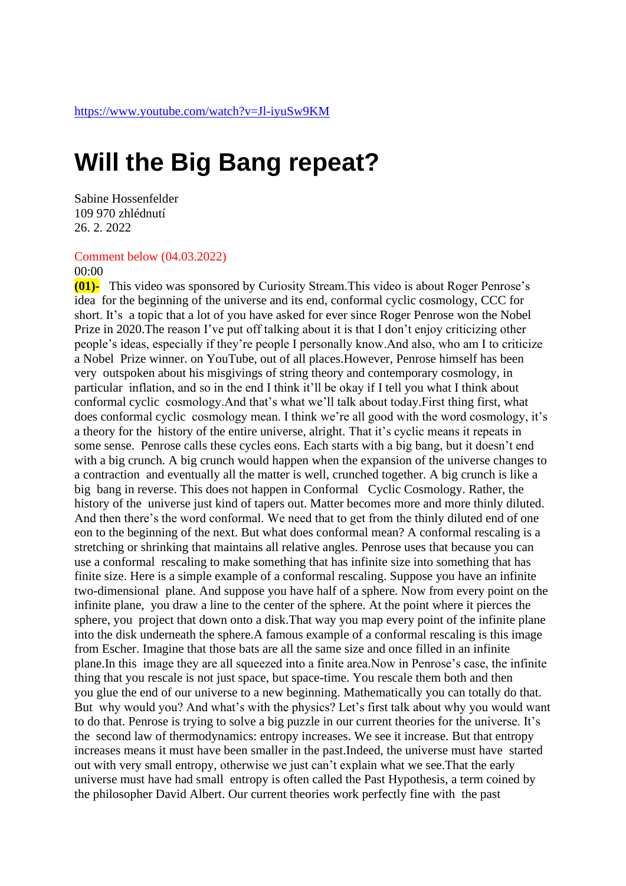## **Will the Big Bang repeat?**

Sabine Hossenfelder 109 970 zhlédnutí 26. 2. 2022

## Comment below (04.03.2022)

## 00:00

**(01)-** This video was sponsored by Curiosity Stream.This video is about Roger Penrose's idea for the beginning of the universe and its end, conformal cyclic cosmology, CCC for short. It's a topic that a lot of you have asked for ever since Roger Penrose won the Nobel Prize in 2020.The reason I've put off talking about it is that I don't enjoy criticizing other people's ideas, especially if they're people I personally know.And also, who am I to criticize a Nobel Prize winner. on YouTube, out of all places.However, Penrose himself has been very outspoken about his misgivings of string theory and contemporary cosmology, in particular inflation, and so in the end I think it'll be okay if I tell you what I think about conformal cyclic cosmology.And that's what we'll talk about today.First thing first, what does conformal cyclic cosmology mean. I think we're all good with the word cosmology, it's a theory for the history of the entire universe, alright. That it's cyclic means it repeats in some sense. Penrose calls these cycles eons. Each starts with a big bang, but it doesn't end with a big crunch. A big crunch would happen when the expansion of the universe changes to a contraction and eventually all the matter is well, crunched together. A big crunch is like a big bang in reverse. This does not happen in Conformal Cyclic Cosmology. Rather, the history of the universe just kind of tapers out. Matter becomes more and more thinly diluted. And then there's the word conformal. We need that to get from the thinly diluted end of one eon to the beginning of the next. But what does conformal mean? A conformal rescaling is a stretching or shrinking that maintains all relative angles. Penrose uses that because you can use a conformal rescaling to make something that has infinite size into something that has finite size. Here is a simple example of a conformal rescaling. Suppose you have an infinite two-dimensional plane. And suppose you have half of a sphere. Now from every point on the infinite plane, you draw a line to the center of the sphere. At the point where it pierces the sphere, you project that down onto a disk.That way you map every point of the infinite plane into the disk underneath the sphere.A famous example of a conformal rescaling is this image from Escher. Imagine that those bats are all the same size and once filled in an infinite plane.In this image they are all squeezed into a finite area.Now in Penrose's case, the infinite thing that you rescale is not just space, but space-time. You rescale them both and then you glue the end of our universe to a new beginning. Mathematically you can totally do that. But why would you? And what's with the physics? Let's first talk about why you would want to do that. Penrose is trying to solve a big puzzle in our current theories for the universe. It's the second law of thermodynamics: entropy increases. We see it increase. But that entropy increases means it must have been smaller in the past.Indeed, the universe must have started out with very small entropy, otherwise we just can't explain what we see.That the early universe must have had small entropy is often called the Past Hypothesis, a term coined by the philosopher David Albert. Our current theories work perfectly fine with the past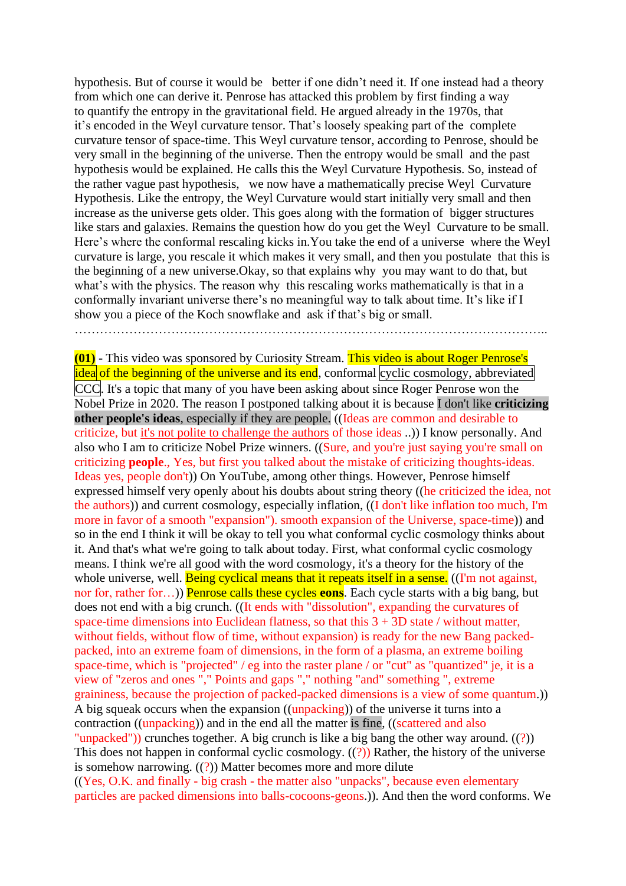hypothesis. But of course it would be better if one didn't need it. If one instead had a theory from which one can derive it. Penrose has attacked this problem by first finding a way to quantify the entropy in the gravitational field. He argued already in the 1970s, that it's encoded in the Weyl curvature tensor. That's loosely speaking part of the complete curvature tensor of space-time. This Weyl curvature tensor, according to Penrose, should be very small in the beginning of the universe. Then the entropy would be small and the past hypothesis would be explained. He calls this the Weyl Curvature Hypothesis. So, instead of the rather vague past hypothesis, we now have a mathematically precise Weyl Curvature Hypothesis. Like the entropy, the Weyl Curvature would start initially very small and then increase as the universe gets older. This goes along with the formation of bigger structures like stars and galaxies. Remains the question how do you get the Weyl Curvature to be small. Here's where the conformal rescaling kicks in.You take the end of a universe where the Weyl curvature is large, you rescale it which makes it very small, and then you postulate that this is the beginning of a new universe.Okay, so that explains why you may want to do that, but what's with the physics. The reason why this rescaling works mathematically is that in a conformally invariant universe there's no meaningful way to talk about time. It's like if I show you a piece of the Koch snowflake and ask if that's big or small.

…………………………………………………………………………………………………..

**(01)** - This video was sponsored by Curiosity Stream. This video is about Roger Penrose's idea of the beginning of the universe and its end, conformal cyclic cosmology, abbreviated CCC. It's a topic that many of you have been asking about since Roger Penrose won the Nobel Prize in 2020. The reason I postponed talking about it is because I don't like **criticizing other people's ideas**, especially if they are people. ((Ideas are common and desirable to criticize, but it's not polite to challenge the authors of those ideas ..)) I know personally. And also who I am to criticize Nobel Prize winners. ((Sure, and you're just saying you're small on criticizing **people**., Yes, but first you talked about the mistake of criticizing thoughts-ideas. Ideas yes, people don't)) On YouTube, among other things. However, Penrose himself expressed himself very openly about his doubts about string theory ((he criticized the idea, not the authors)) and current cosmology, especially inflation, ((I don't like inflation too much, I'm more in favor of a smooth "expansion"). smooth expansion of the Universe, space-time)) and so in the end I think it will be okay to tell you what conformal cyclic cosmology thinks about it. And that's what we're going to talk about today. First, what conformal cyclic cosmology means. I think we're all good with the word cosmology, it's a theory for the history of the whole universe, well. Being cyclical means that it repeats itself in a sense. ((I'm not against, nor for, rather for…)) Penrose calls these cycles **eons**. Each cycle starts with a big bang, but does not end with a big crunch. ((It ends with "dissolution", expanding the curvatures of space-time dimensions into Euclidean flatness, so that this  $3 + 3D$  state / without matter, without fields, without flow of time, without expansion) is ready for the new Bang packedpacked, into an extreme foam of dimensions, in the form of a plasma, an extreme boiling space-time, which is "projected" / eg into the raster plane / or "cut" as "quantized" je, it is a view of "zeros and ones "," Points and gaps "," nothing "and" something ", extreme graininess, because the projection of packed-packed dimensions is a view of some quantum.)) A big squeak occurs when the expansion ((unpacking)) of the universe it turns into a contraction ((unpacking)) and in the end all the matter is fine, ((scattered and also "unpacked")) crunches together. A big crunch is like a big bang the other way around. ((?)) This does not happen in conformal cyclic cosmology.  $((?)$ ) Rather, the history of the universe is somehow narrowing.  $((?)$  Matter becomes more and more dilute ((Yes, O.K. and finally - big crash - the matter also "unpacks", because even elementary particles are packed dimensions into balls-cocoons-geons.)). And then the word conforms. We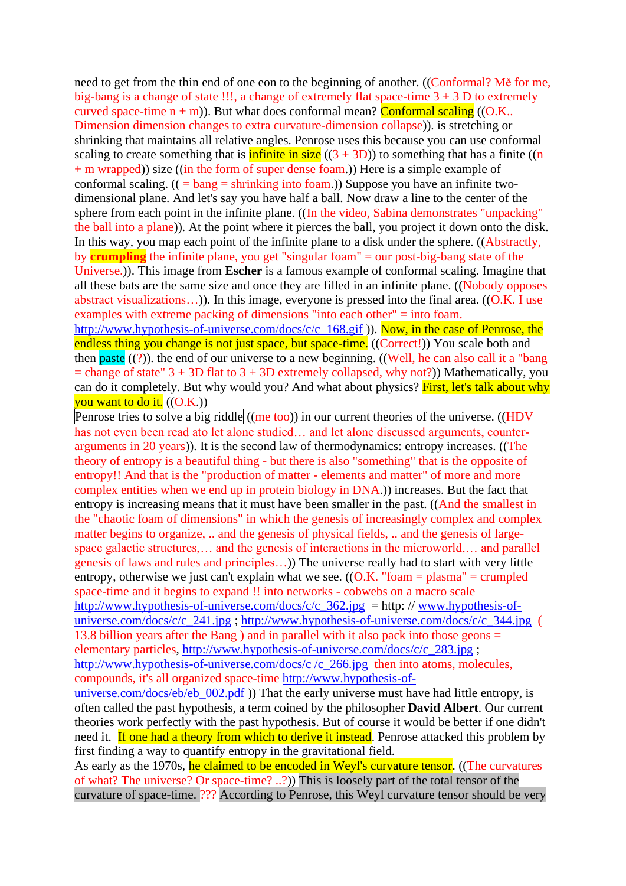need to get from the thin end of one eon to the beginning of another. ((Conformal? Mě for me, big-bang is a change of state !!!, a change of extremely flat space-time  $3 + 3$  D to extremely curved space-time  $n + m$ ). But what does conformal mean? Conformal scaling ((O.K.. Dimension dimension changes to extra curvature-dimension collapse)). is stretching or shrinking that maintains all relative angles. Penrose uses this because you can use conformal scaling to create something that is **infinite in size**  $((3 + 3D))$  to something that has a finite ((n + m wrapped)) size ((in the form of super dense foam.)) Here is a simple example of conformal scaling.  $(( = \text{bang} = \text{shrinking into foam}))$  Suppose you have an infinite twodimensional plane. And let's say you have half a ball. Now draw a line to the center of the sphere from each point in the infinite plane. ((In the video, Sabina demonstrates "unpacking" the ball into a plane)). At the point where it pierces the ball, you project it down onto the disk. In this way, you map each point of the infinite plane to a disk under the sphere. ((Abstractly, by **crumpling** the infinite plane, you get "singular foam" = our post-big-bang state of the Universe.)). This image from **Escher** is a famous example of conformal scaling. Imagine that all these bats are the same size and once they are filled in an infinite plane. ((Nobody opposes abstract visualizations…)). In this image, everyone is pressed into the final area. ((O.K. I use examples with extreme packing of dimensions "into each other" = into foam.

[http://www.hypothesis-of-universe.com/docs/c/c\\_168.gif](http://www.hypothesis-of-universe.com/docs/c/c_168.gif) )). Now, in the case of Penrose, the endless thing you change is not just space, but space-time. ((Correct!)) You scale both and then paste  $(?)$ ). the end of our universe to a new beginning. ((Well, he can also call it a "bang  $=$  change of state"  $3 + 3D$  flat to  $3 + 3D$  extremely collapsed, why not?)) Mathematically, you can do it completely. But why would you? And what about physics? First, let's talk about why you want to do it.  $((O.K.))$ 

Penrose tries to solve a big riddle ((me too)) in our current theories of the universe. ((HDV has not even been read ato let alone studied... and let alone discussed arguments, counterarguments in 20 years)). It is the second law of thermodynamics: entropy increases. ((The theory of entropy is a beautiful thing - but there is also "something" that is the opposite of entropy!! And that is the "production of matter - elements and matter" of more and more complex entities when we end up in protein biology in DNA.)) increases. But the fact that entropy is increasing means that it must have been smaller in the past. ((And the smallest in the "chaotic foam of dimensions" in which the genesis of increasingly complex and complex matter begins to organize, .. and the genesis of physical fields, .. and the genesis of largespace galactic structures,… and the genesis of interactions in the microworld,… and parallel genesis of laws and rules and principles…)) The universe really had to start with very little entropy, otherwise we just can't explain what we see.  $((O.K. "foam = plasma" = crumpled$ space-time and it begins to expand !! into networks - cobwebs on a macro scale http://www.hypothesis-of-universe.com/docs/c/c  $362$ .jpg = http: // [www.hypothesis-of](http://www.hypothesis-of-universe.com/docs/c/c_241.jpg)[universe.com/docs/c/c\\_241.jpg](http://www.hypothesis-of-universe.com/docs/c/c_241.jpg) ; [http://www.hypothesis-of-universe.com/docs/c/c\\_344.jpg](http://www.hypothesis-of-universe.com/docs/c/c_344.jpg) ( 13.8 billion years after the Bang ) and in parallel with it also pack into those geons  $=$ elementary particles, [http://www.hypothesis-of-universe.com/docs/c/c\\_283.jpg](http://www.hypothesis-of-universe.com/docs/c/c_283.jpg) ; [http://www.hypothesis-of-universe.com/docs/c /c\\_266.jpg](http://www.hypothesis-of-universe.com/docs/c%20/c_266.jpg) then into atoms, molecules, compounds, it's all organized space-time [http://www.hypothesis-of-](http://www.hypothesis-of-universe.com/docs/eb/eb_002.pdf)

universe.com/docs/eb/eb  $002.pdf$  )) That the early universe must have had little entropy, is often called the past hypothesis, a term coined by the philosopher **David Albert**. Our current theories work perfectly with the past hypothesis. But of course it would be better if one didn't need it. If one had a theory from which to derive it instead. Penrose attacked this problem by first finding a way to quantify entropy in the gravitational field.

As early as the 1970s, he claimed to be encoded in Weyl's curvature tensor. ((The curvatures of what? The universe? Or space-time? ..?)) This is loosely part of the total tensor of the curvature of space-time. ??? According to Penrose, this Weyl curvature tensor should be very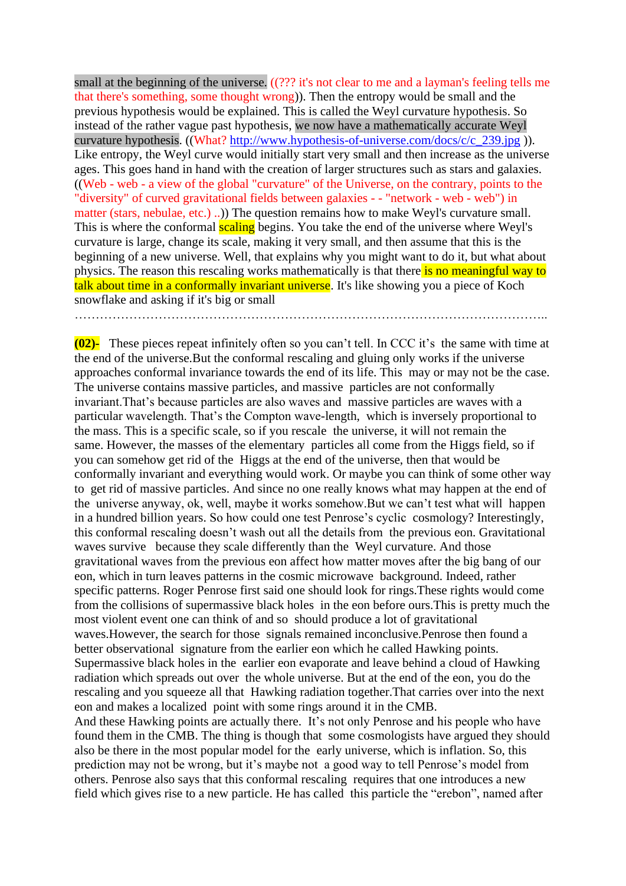small at the beginning of the universe. ((??? it's not clear to me and a layman's feeling tells me that there's something, some thought wrong)). Then the entropy would be small and the previous hypothesis would be explained. This is called the Weyl curvature hypothesis. So instead of the rather vague past hypothesis, we now have a mathematically accurate Weyl curvature hypothesis. ((What? [http://www.hypothesis-of-universe.com/docs/c/c\\_239.jpg](http://www.hypothesis-of-universe.com/docs/c/c_239.jpg) )). Like entropy, the Weyl curve would initially start very small and then increase as the universe ages. This goes hand in hand with the creation of larger structures such as stars and galaxies. ((Web - web - a view of the global "curvature" of the Universe, on the contrary, points to the "diversity" of curved gravitational fields between galaxies - - "network - web - web") in matter (stars, nebulae, etc.) ..)) The question remains how to make Weyl's curvature small. This is where the conformal **scaling** begins. You take the end of the universe where Weyl's curvature is large, change its scale, making it very small, and then assume that this is the beginning of a new universe. Well, that explains why you might want to do it, but what about physics. The reason this rescaling works mathematically is that there is no meaningful way to talk about time in a conformally invariant universe. It's like showing you a piece of Koch snowflake and asking if it's big or small …………………………………………………………………………………………………..

**(02)-** These pieces repeat infinitely often so you can't tell. In CCC it's the same with time at the end of the universe.But the conformal rescaling and gluing only works if the universe approaches conformal invariance towards the end of its life. This may or may not be the case. The universe contains massive particles, and massive particles are not conformally invariant.That's because particles are also waves and massive particles are waves with a particular wavelength. That's the Compton wave-length, which is inversely proportional to the mass. This is a specific scale, so if you rescale the universe, it will not remain the same. However, the masses of the elementary particles all come from the Higgs field, so if you can somehow get rid of the Higgs at the end of the universe, then that would be conformally invariant and everything would work. Or maybe you can think of some other way to get rid of massive particles. And since no one really knows what may happen at the end of the universe anyway, ok, well, maybe it works somehow.But we can't test what will happen in a hundred billion years. So how could one test Penrose's cyclic cosmology? Interestingly, this conformal rescaling doesn't wash out all the details from the previous eon. Gravitational waves survive because they scale differently than the Weyl curvature. And those gravitational waves from the previous eon affect how matter moves after the big bang of our eon, which in turn leaves patterns in the cosmic microwave background. Indeed, rather specific patterns. Roger Penrose first said one should look for rings.These rights would come from the collisions of supermassive black holes in the eon before ours.This is pretty much the most violent event one can think of and so should produce a lot of gravitational waves.However, the search for those signals remained inconclusive.Penrose then found a better observational signature from the earlier eon which he called Hawking points. Supermassive black holes in the earlier eon evaporate and leave behind a cloud of Hawking radiation which spreads out over the whole universe. But at the end of the eon, you do the rescaling and you squeeze all that Hawking radiation together.That carries over into the next eon and makes a localized point with some rings around it in the CMB. And these Hawking points are actually there. It's not only Penrose and his people who have

found them in the CMB. The thing is though that some cosmologists have argued they should also be there in the most popular model for the early universe, which is inflation. So, this prediction may not be wrong, but it's maybe not a good way to tell Penrose's model from others. Penrose also says that this conformal rescaling requires that one introduces a new field which gives rise to a new particle. He has called this particle the "erebon", named after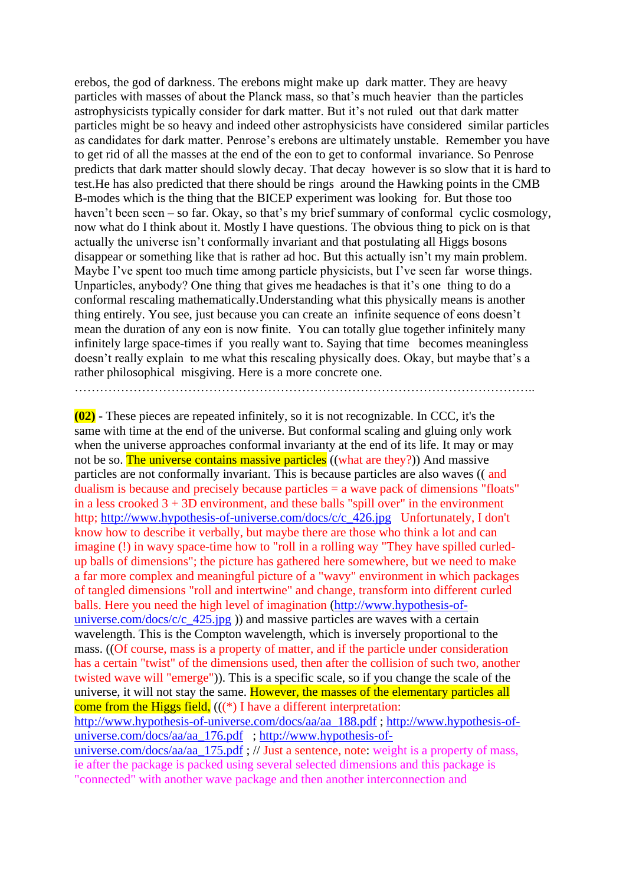erebos, the god of darkness. The erebons might make up dark matter. They are heavy particles with masses of about the Planck mass, so that's much heavier than the particles astrophysicists typically consider for dark matter. But it's not ruled out that dark matter particles might be so heavy and indeed other astrophysicists have considered similar particles as candidates for dark matter. Penrose's erebons are ultimately unstable. Remember you have to get rid of all the masses at the end of the eon to get to conformal invariance. So Penrose predicts that dark matter should slowly decay. That decay however is so slow that it is hard to test.He has also predicted that there should be rings around the Hawking points in the CMB B-modes which is the thing that the BICEP experiment was looking for. But those too haven't been seen – so far. Okay, so that's my brief summary of conformal cyclic cosmology, now what do I think about it. Mostly I have questions. The obvious thing to pick on is that actually the universe isn't conformally invariant and that postulating all Higgs bosons disappear or something like that is rather ad hoc. But this actually isn't my main problem. Maybe I've spent too much time among particle physicists, but I've seen far worse things. Unparticles, anybody? One thing that gives me headaches is that it's one thing to do a conformal rescaling mathematically.Understanding what this physically means is another thing entirely. You see, just because you can create an infinite sequence of eons doesn't mean the duration of any eon is now finite. You can totally glue together infinitely many infinitely large space-times if you really want to. Saying that time becomes meaningless doesn't really explain to me what this rescaling physically does. Okay, but maybe that's a rather philosophical misgiving. Here is a more concrete one. ………………………………………………………………………………………………..

**(02)** - These pieces are repeated infinitely, so it is not recognizable. In CCC, it's the same with time at the end of the universe. But conformal scaling and gluing only work when the universe approaches conformal invarianty at the end of its life. It may or may not be so. The universe contains massive particles ((what are they?)) And massive particles are not conformally invariant. This is because particles are also waves (( and dualism is because and precisely because particles = a wave pack of dimensions "floats" in a less crooked  $3 + 3D$  environment, and these balls "spill over" in the environment http; [http://www.hypothesis-of-universe.com/docs/c/c\\_426.jpg](http://www.hypothesis-of-universe.com/docs/c/c_426.jpg) Unfortunately, I don't know how to describe it verbally, but maybe there are those who think a lot and can imagine (!) in wavy space-time how to "roll in a rolling way "They have spilled curledup balls of dimensions"; the picture has gathered here somewhere, but we need to make a far more complex and meaningful picture of a "wavy" environment in which packages of tangled dimensions "roll and intertwine" and change, transform into different curled balls. Here you need the high level of imagination [\(http://www.hypothesis-of](http://www.hypothesis-of-universe.com/docs/c/c_425.jpg)universe.com/docs/c/c  $425.jpg$ ) and massive particles are waves with a certain wavelength. This is the Compton wavelength, which is inversely proportional to the mass. ((Of course, mass is a property of matter, and if the particle under consideration has a certain "twist" of the dimensions used, then after the collision of such two, another twisted wave will "emerge")). This is a specific scale, so if you change the scale of the universe, it will not stay the same. However, the masses of the elementary particles all come from the Higgs field,  $(((*)$  I have a different interpretation: [http://www.hypothesis-of-universe.com/docs/aa/aa\\_188.pdf](http://www.hypothesis-of-universe.com/docs/aa/aa_188.pdf) ; [http://www.hypothesis-of](http://www.hypothesis-of-universe.com/docs/aa/aa_176.pdf)[universe.com/docs/aa/aa\\_176.pdf](http://www.hypothesis-of-universe.com/docs/aa/aa_176.pdf) ; [http://www.hypothesis-of-](http://www.hypothesis-of-universe.com/docs/aa/aa_175.pdf)

[universe.com/docs/aa/aa\\_175.pdf](http://www.hypothesis-of-universe.com/docs/aa/aa_175.pdf) ; // Just a sentence, note: weight is a property of mass, ie after the package is packed using several selected dimensions and this package is "connected" with another wave package and then another interconnection and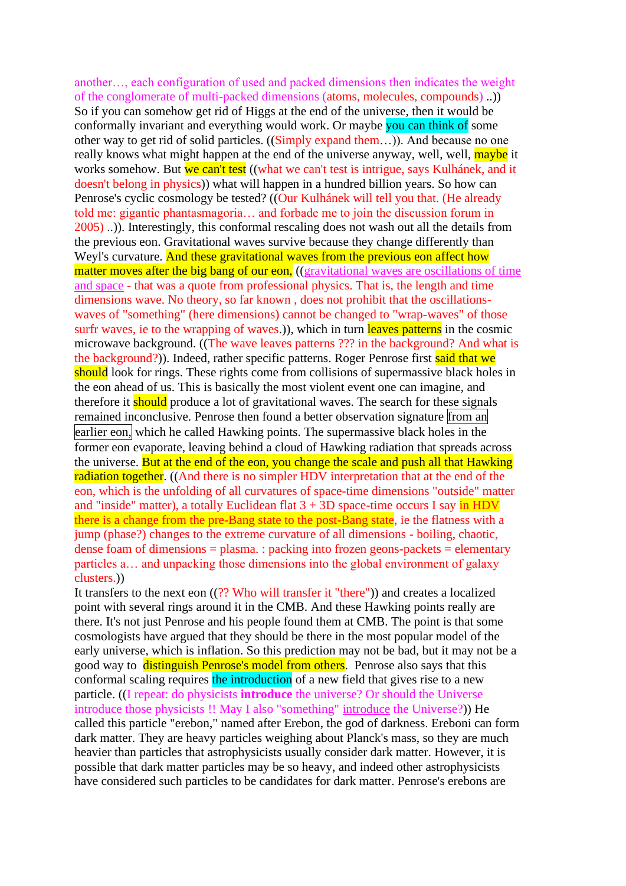another…, each configuration of used and packed dimensions then indicates the weight of the conglomerate of multi-packed dimensions (atoms, molecules, compounds) ..)) So if you can somehow get rid of Higgs at the end of the universe, then it would be conformally invariant and everything would work. Or maybe you can think of some other way to get rid of solid particles. ((Simply expand them…)). And because no one really knows what might happen at the end of the universe anyway, well, well, maybe it works somehow. But we can't test ((what we can't test is intrigue, says Kulhánek, and it doesn't belong in physics)) what will happen in a hundred billion years. So how can Penrose's cyclic cosmology be tested? ((Our Kulhánek will tell you that. (He already told me: gigantic phantasmagoria… and forbade me to join the discussion forum in 2005) ..)). Interestingly, this conformal rescaling does not wash out all the details from the previous eon. Gravitational waves survive because they change differently than Weyl's curvature. And these gravitational waves from the previous eon affect how matter moves after the big bang of our eon, ((gravitational waves are oscillations of time and space - that was a quote from professional physics. That is, the length and time dimensions wave. No theory, so far known , does not prohibit that the oscillationswaves of "something" (here dimensions) cannot be changed to "wrap-waves" of those surfr waves, ie to the wrapping of waves.), which in turn leaves patterns in the cosmic microwave background. ((The wave leaves patterns ??? in the background? And what is the background?)). Indeed, rather specific patterns. Roger Penrose first said that we should look for rings. These rights come from collisions of supermassive black holes in the eon ahead of us. This is basically the most violent event one can imagine, and therefore it **should** produce a lot of gravitational waves. The search for these signals remained inconclusive. Penrose then found a better observation signature from an earlier eon, which he called Hawking points. The supermassive black holes in the former eon evaporate, leaving behind a cloud of Hawking radiation that spreads across the universe. But at the end of the eon, you change the scale and push all that Hawking radiation together. ((And there is no simpler HDV interpretation that at the end of the eon, which is the unfolding of all curvatures of space-time dimensions "outside" matter and "inside" matter), a totally Euclidean flat  $3 + 3D$  space-time occurs I say in HDV there is a change from the pre-Bang state to the post-Bang state, ie the flatness with a jump (phase?) changes to the extreme curvature of all dimensions - boiling, chaotic, dense foam of dimensions = plasma. : packing into frozen geons-packets = elementary particles a… and unpacking those dimensions into the global environment of galaxy clusters.))

It transfers to the next eon ((?? Who will transfer it "there")) and creates a localized point with several rings around it in the CMB. And these Hawking points really are there. It's not just Penrose and his people found them at CMB. The point is that some cosmologists have argued that they should be there in the most popular model of the early universe, which is inflation. So this prediction may not be bad, but it may not be a good way to distinguish Penrose's model from others. Penrose also says that this conformal scaling requires the introduction of a new field that gives rise to a new particle. ((I repeat: do physicists **introduce** the universe? Or should the Universe introduce those physicists !! May I also "something" introduce the Universe?)) He called this particle "erebon," named after Erebon, the god of darkness. Ereboni can form dark matter. They are heavy particles weighing about Planck's mass, so they are much heavier than particles that astrophysicists usually consider dark matter. However, it is possible that dark matter particles may be so heavy, and indeed other astrophysicists have considered such particles to be candidates for dark matter. Penrose's erebons are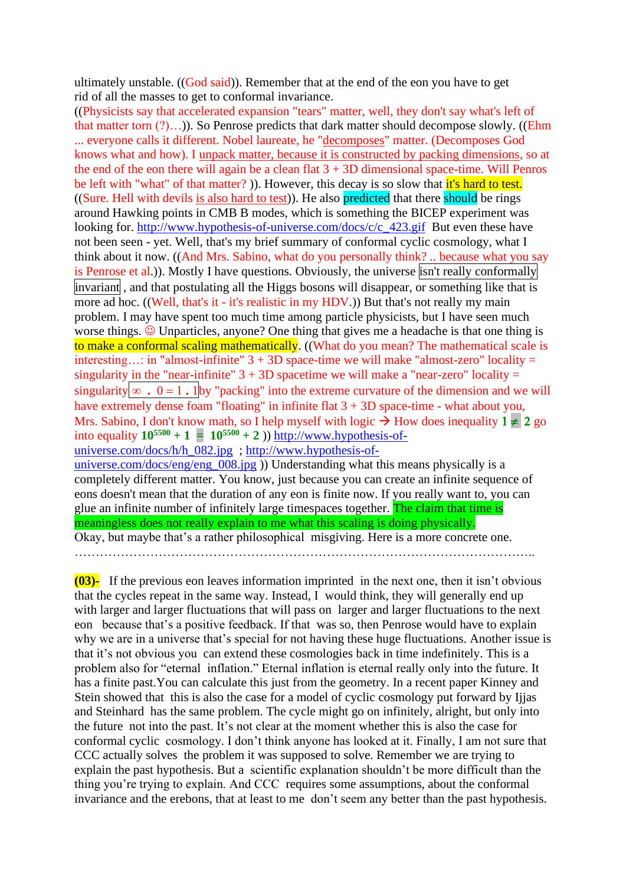ultimately unstable. ((God said)). Remember that at the end of the eon you have to get rid of all the masses to get to conformal invariance.

((Physicists say that accelerated expansion "tears" matter, well, they don't say what's left of that matter torn  $(?)...)$ ). So Penrose predicts that dark matter should decompose slowly. ((Ehm ... everyone calls it different. Nobel laureate, he "decomposes" matter. (Decomposes God knows what and how). I unpack matter, because it is constructed by packing dimensions, so at the end of the eon there will again be a clean flat  $3 + 3D$  dimensional space-time. Will Penros be left with "what" of that matter? )). However, this decay is so slow that it's hard to test. ((Sure. Hell with devils is also hard to test)). He also predicted that there should be rings around Hawking points in CMB B modes, which is something the BICEP experiment was looking for. [http://www.hypothesis-of-universe.com/docs/c/c\\_423.gif](http://www.hypothesis-of-universe.com/docs/c/c_423.gif) But even these have not been seen - yet. Well, that's my brief summary of conformal cyclic cosmology, what I think about it now. ((And Mrs. Sabino, what do you personally think? .. because what you say is Penrose et al.)). Mostly I have questions. Obviously, the universe isn't really conformally invariant, and that postulating all the Higgs bosons will disappear, or something like that is more ad hoc. ((Well, that's it - it's realistic in my HDV.)) But that's not really my main problem. I may have spent too much time among particle physicists, but I have seen much worse things.  $\odot$  Unparticles, anyone? One thing that gives me a headache is that one thing is to make a conformal scaling mathematically. ((What do you mean? The mathematical scale is interesting...: in "almost-infinite"  $3 + 3D$  space-time we will make "almost-zero" locality = singularity in the "near-infinite"  $3 + 3D$  spacetime we will make a "near-zero" locality = singularity  $\infty$  .  $0 = 1$ . I by "packing" into the extreme curvature of the dimension and we will have extremely dense foam "floating" in infinite flat  $3 + 3D$  space-time - what about you, Mrs. Sabino, I don't know math, so I help myself with logic  $\rightarrow$  How does inequality  $1 \neq 2$  go into equality  $10^{5500} + 1 = 10^{5500} + 2$  ()) [http://www.hypothesis-of](http://www.hypothesis-of-universe.com/docs/h/h_082.jpg)[universe.com/docs/h/h\\_082.jpg](http://www.hypothesis-of-universe.com/docs/h/h_082.jpg) ; [http://www.hypothesis-of](http://www.hypothesis-of-universe.com/docs/eng/eng_008.jpg)universe.com/docs/eng/eng  $008.jpg$ )) Understanding what this means physically is a completely different matter. You know, just because you can create an infinite sequence of eons doesn't mean that the duration of any eon is finite now. If you really want to, you can glue an infinite number of infinitely large timespaces together. The claim that time is meaningless does not really explain to me what this scaling is doing physically.

Okay, but maybe that's a rather philosophical misgiving. Here is a more concrete one.

**(03)-** If the previous eon leaves information imprinted in the next one, then it isn't obvious that the cycles repeat in the same way. Instead, I would think, they will generally end up with larger and larger fluctuations that will pass on larger and larger fluctuations to the next eon because that's a positive feedback. If that was so, then Penrose would have to explain why we are in a universe that's special for not having these huge fluctuations. Another issue is that it's not obvious you can extend these cosmologies back in time indefinitely. This is a problem also for "eternal inflation." Eternal inflation is eternal really only into the future. It has a finite past.You can calculate this just from the geometry. In a recent paper Kinney and Stein showed that this is also the case for a model of cyclic cosmology put forward by Ijjas and Steinhard has the same problem. The cycle might go on infinitely, alright, but only into the future not into the past. It's not clear at the moment whether this is also the case for conformal cyclic cosmology. I don't think anyone has looked at it. Finally, I am not sure that CCC actually solves the problem it was supposed to solve. Remember we are trying to explain the past hypothesis. But a scientific explanation shouldn't be more difficult than the thing you're trying to explain. And CCC requires some assumptions, about the conformal invariance and the erebons, that at least to me don't seem any better than the past hypothesis.

<sup>………………………………………………………………………………………………..</sup>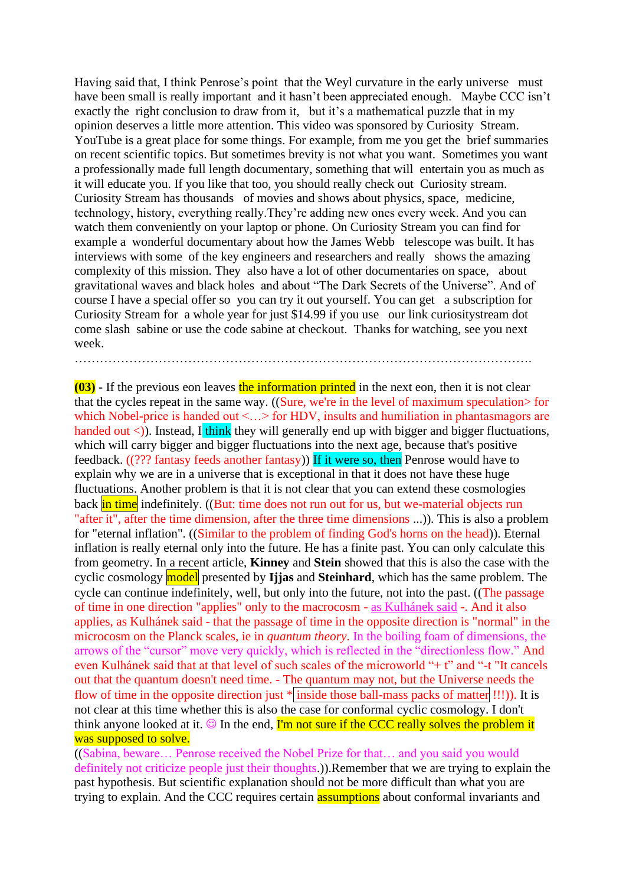Having said that, I think Penrose's point that the Weyl curvature in the early universe must have been small is really important and it hasn't been appreciated enough. Maybe CCC isn't exactly the right conclusion to draw from it, but it's a mathematical puzzle that in my opinion deserves a little more attention. This video was sponsored by Curiosity Stream. YouTube is a great place for some things. For example, from me you get the brief summaries on recent scientific topics. But sometimes brevity is not what you want. Sometimes you want a professionally made full length documentary, something that will entertain you as much as it will educate you. If you like that too, you should really check out Curiosity stream. Curiosity Stream has thousands of movies and shows about physics, space, medicine, technology, history, everything really.They're adding new ones every week. And you can watch them conveniently on your laptop or phone. On Curiosity Stream you can find for example a wonderful documentary about how the James Webb telescope was built. It has interviews with some of the key engineers and researchers and really shows the amazing complexity of this mission. They also have a lot of other documentaries on space, about gravitational waves and black holes and about "The Dark Secrets of the Universe". And of course I have a special offer so you can try it out yourself. You can get a subscription for Curiosity Stream for a whole year for just \$14.99 if you use our link curiositystream dot come slash sabine or use the code sabine at checkout. Thanks for watching, see you next week.

……………………………………………………………………………………………….

**(03)** - If the previous eon leaves the information printed in the next eon, then it is not clear that the cycles repeat in the same way. ((Sure, we're in the level of maximum speculation for which Nobel-price is handed out <...> for HDV, insults and humiliation in phantasmagors are handed out  $\langle$ )). Instead, I think they will generally end up with bigger and bigger fluctuations, which will carry bigger and bigger fluctuations into the next age, because that's positive feedback. ((??? fantasy feeds another fantasy)) If it were so, then Penrose would have to explain why we are in a universe that is exceptional in that it does not have these huge fluctuations. Another problem is that it is not clear that you can extend these cosmologies back in time indefinitely. ((But: time does not run out for us, but we-material objects run "after it", after the time dimension, after the three time dimensions ...)). This is also a problem for "eternal inflation". ((Similar to the problem of finding God's horns on the head)). Eternal inflation is really eternal only into the future. He has a finite past. You can only calculate this from geometry. In a recent article, **Kinney** and **Stein** showed that this is also the case with the cyclic cosmology model presented by **Ijjas** and **Steinhard**, which has the same problem. The cycle can continue indefinitely, well, but only into the future, not into the past. ((The passage of time in one direction "applies" only to the macrocosm - as Kulhánek said -. And it also applies, as Kulhánek said - that the passage of time in the opposite direction is "normal" in the microcosm on the Planck scales, ie in *quantum theory*. In the boiling foam of dimensions, the arrows of the "cursor" move very quickly, which is reflected in the "directionless flow." And even Kulhánek said that at that level of such scales of the microworld "+ t" and "-t "It cancels out that the quantum doesn't need time. - The quantum may not, but the Universe needs the flow of time in the opposite direction just \* inside those ball-mass packs of matter !!!)). It is not clear at this time whether this is also the case for conformal cyclic cosmology. I don't think anyone looked at it.  $\odot$  In the end, I'm not sure if the CCC really solves the problem it was supposed to solve.

((Sabina, beware… Penrose received the Nobel Prize for that… and you said you would definitely not criticize people just their thoughts.)).Remember that we are trying to explain the past hypothesis. But scientific explanation should not be more difficult than what you are trying to explain. And the CCC requires certain assumptions about conformal invariants and